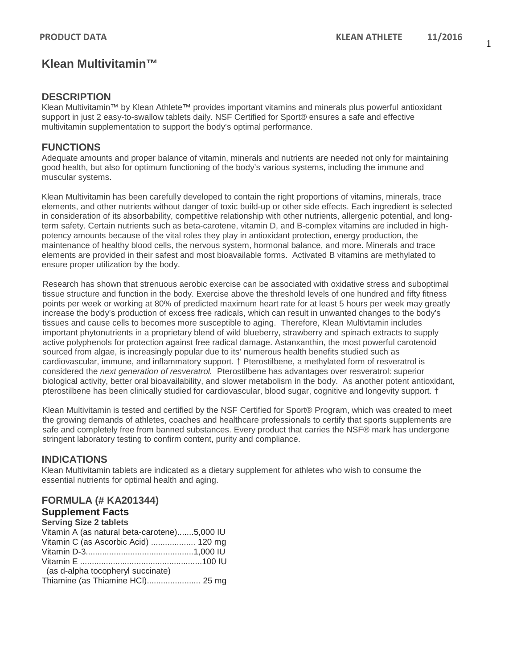# **Klean Multivitamin™**

### **DESCRIPTION**

Klean Multivitamin™ by Klean Athlete™ provides important vitamins and minerals plus powerful antioxidant support in just 2 easy-to-swallow tablets daily. NSF Certified for Sport® ensures a safe and effective multivitamin supplementation to support the body's optimal performance.

### **FUNCTIONS**

Adequate amounts and proper balance of vitamin, minerals and nutrients are needed not only for maintaining good health, but also for optimum functioning of the body's various systems, including the immune and muscular systems.

Klean Multivitamin has been carefully developed to contain the right proportions of vitamins, minerals, trace elements, and other nutrients without danger of toxic build-up or other side effects. Each ingredient is selected in consideration of its absorbability, competitive relationship with other nutrients, allergenic potential, and longterm safety. Certain nutrients such as beta-carotene, vitamin D, and B-complex vitamins are included in highpotency amounts because of the vital roles they play in antioxidant protection, energy production, the maintenance of healthy blood cells, the nervous system, hormonal balance, and more. Minerals and trace elements are provided in their safest and most bioavailable forms. Activated B vitamins are methylated to ensure proper utilization by the body.

Research has shown that strenuous aerobic exercise can be associated with oxidative stress and suboptimal tissue structure and function in the body. Exercise above the threshold levels of one hundred and fifty fitness points per week or working at 80% of predicted maximum heart rate for at least 5 hours per week may greatly increase the body's production of excess free radicals, which can result in unwanted changes to the body's tissues and cause cells to becomes more susceptible to aging. Therefore, Klean Multivtamin includes important phytonutrients in a proprietary blend of wild blueberry, strawberry and spinach extracts to supply active polyphenols for protection against free radical damage. Astanxanthin, the most powerful carotenoid sourced from algae, is increasingly popular due to its' numerous health benefits studied such as cardiovascular, immune, and inflammatory support. † Pterostilbene, a methylated form of resveratrol is considered the *next generation of resveratrol.* Pterostilbene has advantages over resveratrol: superior biological activity, better oral bioavailability, and slower metabolism in the body. As another potent antioxidant, pterostilbene has been clinically studied for cardiovascular, blood sugar, cognitive and longevity support. †

Klean Multivitamin is tested and certified by the NSF Certified for Sport® Program, which was created to meet the growing demands of athletes, coaches and healthcare professionals to certify that sports supplements are safe and completely free from banned substances. Every product that carries the NSF® mark has undergone stringent laboratory testing to confirm content, purity and compliance.

### **INDICATIONS**

Klean Multivitamin tablets are indicated as a dietary supplement for athletes who wish to consume the essential nutrients for optimal health and aging.

### **FORMULA (# KA201344)**

## **Supplement Facts**

| Vitamin A (as natural beta-carotene)5,000 IU |
|----------------------------------------------|
| Vitamin C (as Ascorbic Acid)  120 mg         |
|                                              |
|                                              |
|                                              |
| Thiamine (as Thiamine HCI) 25 mg             |
|                                              |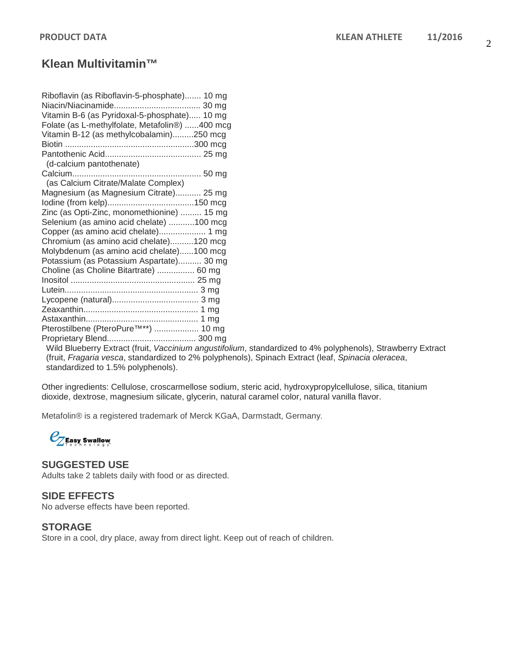# **Klean Multivitamin™**

| Riboflavin (as Riboflavin-5-phosphate) 10 mg     |  |
|--------------------------------------------------|--|
|                                                  |  |
| Vitamin B-6 (as Pyridoxal-5-phosphate) 10 mg     |  |
| Folate (as L-methylfolate, Metafolin®) 400 mcg   |  |
| Vitamin B-12 (as methylcobalamin)250 mcg         |  |
|                                                  |  |
|                                                  |  |
| (d-calcium pantothenate)                         |  |
|                                                  |  |
| (as Calcium Citrate/Malate Complex)              |  |
| Magnesium (as Magnesium Citrate) 25 mg           |  |
|                                                  |  |
| Zinc (as Opti-Zinc, monomethionine)  15 mg       |  |
| Selenium (as amino acid chelate) 100 mcg         |  |
| Copper (as amino acid chelate) 1 mg              |  |
| Chromium (as amino acid chelate)120 mcg          |  |
| Molybdenum (as amino acid chelate)100 mcg        |  |
| Potassium (as Potassium Aspartate) 30 mg         |  |
| Choline (as Choline Bitartrate)  60 mg           |  |
|                                                  |  |
|                                                  |  |
|                                                  |  |
|                                                  |  |
|                                                  |  |
| Pterostilbene (PteroPure <sup>™**</sup> )  10 mg |  |
|                                                  |  |

Proprietary Blend...................................... 300 mg

Wild Blueberry Extract (fruit, *Vaccinium angustifolium*, standardized to 4% polyphenols), Strawberry Extract (fruit, *Fragaria vesca*, standardized to 2% polyphenols), Spinach Extract (leaf, *Spinacia oleracea*, standardized to 1.5% polyphenols).

Other ingredients: Cellulose, croscarmellose sodium, steric acid, hydroxypropylcellulose, silica, titanium dioxide, dextrose, magnesium silicate, glycerin, natural caramel color, natural vanilla flavor.

Metafolin® is a registered trademark of Merck KGaA, Darmstadt, Germany.

 $\mathcal{C}_Z$ Easy Swallow

### **SUGGESTED USE**

Adults take 2 tablets daily with food or as directed.

### **SIDE EFFECTS**

No adverse effects have been reported.

#### **STORAGE**

Store in a cool, dry place, away from direct light. Keep out of reach of children.